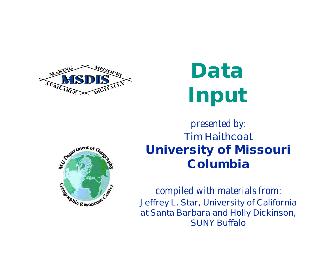

# **Data Input**



#### *presented by:* **Tim Haithcoat University of Missouri Columbia**

*compiled with materials from:* **Jeffrey L. Star, University of California at Santa Barbara and Holly Dickinson, SUNY Buffalo**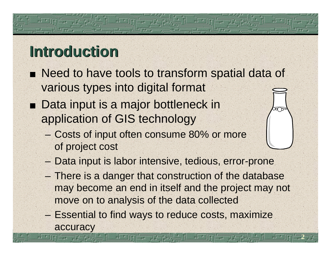### **Introduction**

- **Need to have tools to transform spatial data of** various types into digital format
- Data input is a major bottleneck in application of GIS technology
	- Costs of input often consume 80% or more of project cost
	- Data input is labor intensive, tedious, error-prone
	- There is a danger that construction of the database may become an end in itself and the project may not move on to analysis of the data collected

**2**

 $\infty$ 

– Essential to find ways to reduce costs, maximize accuracy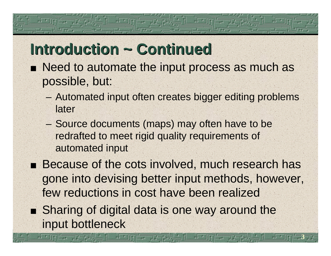#### **Introduction ~ Continued**

- Need to automate the input process as much as possible, but:
	- Automated input often creates bigger editing problems later
	- Source documents (maps) may often have to be redrafted to meet rigid quality requirements of automated input
- Because of the cots involved, much research has gone into devising better input methods, however, few reductions in cost have been realized

**3**

■ Sharing of digital data is one way around the input bottleneck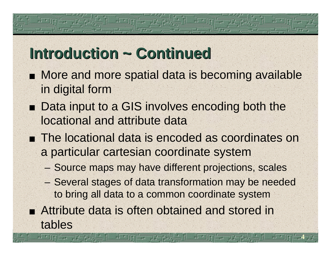#### **Introduction ~ Continued**

- **More and more spatial data is becoming available** in digital form
- Data input to a GIS involves encoding both the locational and attribute data
- **The locational data is encoded as coordinates on** a particular cartesian coordinate system
	- Source maps may have different projections, scales
	- Several stages of data transformation may be needed to bring all data to a common coordinate system

**4**

Attribute data is often obtained and stored in tables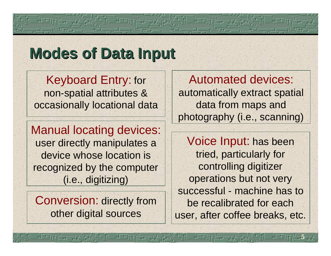#### **Modes of Data Input**

Keyboard Entry: for non-spatial attributes & occasionally locational data

Manual locating devices: user directly manipulates a device whose location is recognized by the computer (i.e., digitizing)

Conversion: directly from other digital sources

Automated devices: automatically extract spatial data from maps and photography (i.e., scanning)

Voice Input: has been tried, particularly for controlling digitizer operations but not very successful - machine has to be recalibrated for each user, after coffee breaks, etc.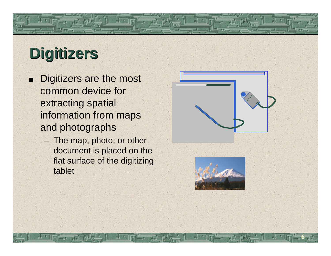# **Digitizers**

- Digitizers are the most common device for extracting spatial information from maps and photographs
	- The map, photo, or other document is placed on the flat surface of the digitizing tablet



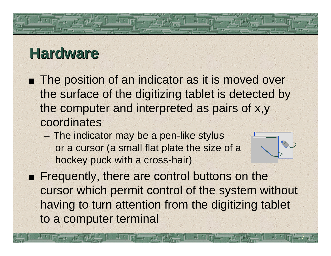#### **Hardware**

- The position of an indicator as it is moved over the surface of the digitizing tablet is detected by the computer and interpreted as pairs of x,y coordinates
	- The indicator may be a pen-like stylus or a cursor (a small flat plate the size of a hockey puck with a cross-hair)



**7**

**Figuently, there are control buttons on the** cursor which permit control of the system without having to turn attention from the digitizing tablet to a computer terminal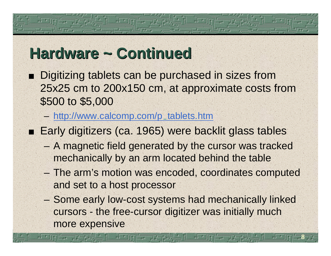#### **Hardware ~ Continued**

- Digitizing tablets can be purchased in sizes from 25x25 cm to 200x150 cm, at approximate costs from \$500 to \$5,000
	- http://www.calcomp.com/p\_tablets.htm
- Early digitizers (ca. 1965) were backlit glass tables
	- A magnetic field generated by the cursor was tracked mechanically by an arm located behind the table
	- The arm's motion was encoded, coordinates computed and set to a host processor
	- Some early low-cost systems had mechanically linked cursors - the free-cursor digitizer was initially much more expensive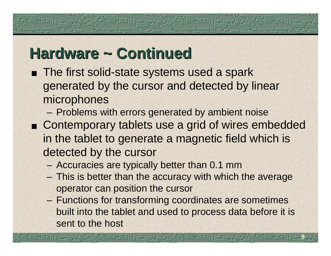#### **Hardware ~ Continued**

- **n** The first solid-state systems used a spark generated by the cursor and detected by linear microphones
	- Problems with errors generated by ambient noise
- Contemporary tablets use a grid of wires embedded in the tablet to generate a magnetic field which is detected by the cursor
	- Accuracies are typically better than 0.1 mm
	- This is better than the accuracy with which the average operator can position the cursor
	- Functions for transforming coordinates are sometimes built into the tablet and used to process data before it is sent to the host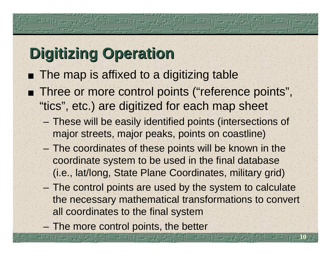# **Digitizing Operation**

- **The map is affixed to a digitizing table Three or more control points ("reference points",** "tics", etc.) are digitized for each map sheet
	- These will be easily identified points (intersections of major streets, major peaks, points on coastline)
	- The coordinates of these points will be known in the coordinate system to be used in the final database (i.e., lat/long, State Plane Coordinates, military grid)
	- The control points are used by the system to calculate the necessary mathematical transformations to convert all coordinates to the final system

**10**

– The more control points, the better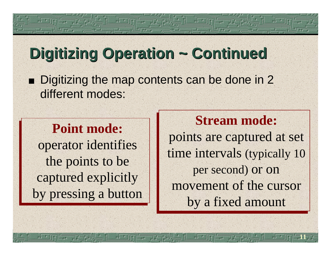#### **Digitizing Operation ~ Continued**

Digitizing the map contents can be done in 2 different modes:

#### **Point mode:**

operator identifies the points to be captured explicitly by pressing a button

**Stream mode: Stream mode:** points are captured at set points are captured at set time intervals (typically 10 per second) or on per second) or on movement of the cursor movement of the cursor by a fixed amount by a fixed amount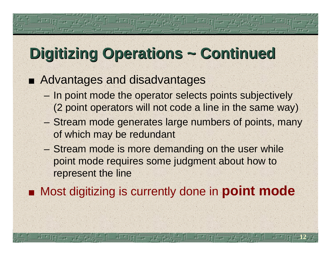### **Digitizing Operations ~ Continued**

#### Advantages and disadvantages

- In point mode the operator selects points subjectively (2 point operators will not code a line in the same way)
- Stream mode generates large numbers of points, many of which may be redundant
- Stream mode is more demanding on the user while point mode requires some judgment about how to represent the line
- Most digitizing is currently done in **point mode**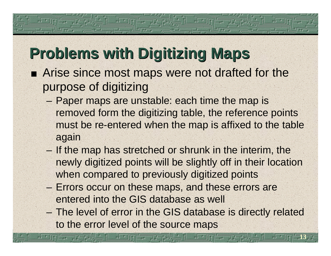# **Problems with Digitizing Maps**

- Arise since most maps were not drafted for the purpose of digitizing
	- Paper maps are unstable: each time the map is removed form the digitizing table, the reference points must be re-entered when the map is affixed to the table again
	- If the map has stretched or shrunk in the interim, the newly digitized points will be slightly off in their location when compared to previously digitized points
	- Errors occur on these maps, and these errors are entered into the GIS database as well
	- The level of error in the GIS database is directly related to the error level of the source maps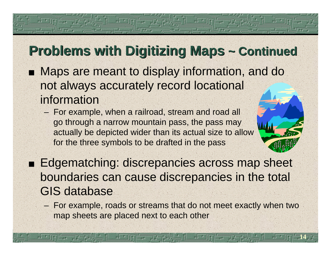#### **Problems with Digitizing Maps ~ Continued**

- **Naps are meant to display information, and do** not always accurately record locational information
	- For example, when a railroad, stream and road all go through a narrow mountain pass, the pass may actually be depicted wider than its actual size to allow for the three symbols to be drafted in the pass
- **Edgematching: discrepancies across map sheet** boundaries can cause discrepancies in the total GIS database
	- For example, roads or streams that do not meet exactly when two map sheets are placed next to each other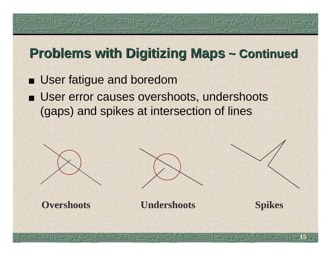#### **Problems with Digitizing Maps ~ Continued**

- **User fatigue and boredom**
- **E** User error causes overshoots, undershoots (gaps) and spikes at intersection of lines



**Overshoots Undershoots Spikes**

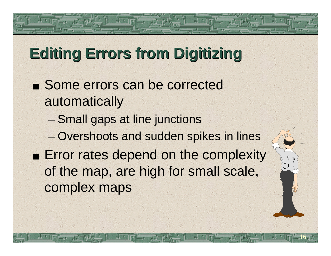#### **Editing Errors from Digitizing**

- Some errors can be corrected automatically
	- Small gaps at line junctions
	- Overshoots and sudden spikes in lines
- **Error rates depend on the complexity** of the map, are high for small scale, complex maps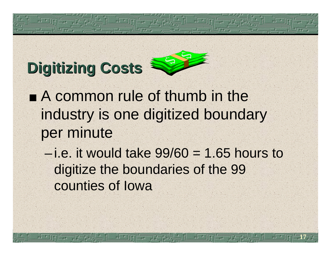# **Digitizing Costs**

- **A common rule of thumb in the** industry is one digitized boundary per minute
	- $-i.e.$  it would take  $99/60 = 1.65$  hours to digitize the boundaries of the 99 counties of Iowa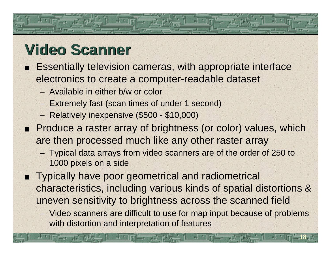#### **Video Scanner**

- **Essentially television cameras, with appropriate interface** electronics to create a computer-readable dataset
	- Available in either b/w or color
	- Extremely fast (scan times of under 1 second)
	- Relatively inexpensive (\$500 \$10,000)
- Produce a raster array of brightness (or color) values, which are then processed much like any other raster array
	- Typical data arrays from video scanners are of the order of 250 to 1000 pixels on a side
- **Typically have poor geometrical and radiometrical** characteristics, including various kinds of spatial distortions & uneven sensitivity to brightness across the scanned field
	- Video scanners are difficult to use for map input because of problems with distortion and interpretation of features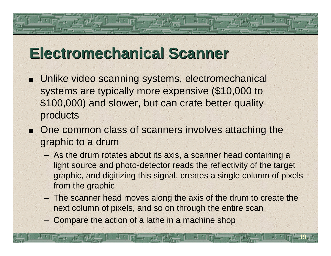#### **Electromechanical Scanner**

- Unlike video scanning systems, electromechanical systems are typically more expensive (\$10,000 to \$100,000) and slower, but can crate better quality products
- One common class of scanners involves attaching the graphic to a drum
	- As the drum rotates about its axis, a scanner head containing a light source and photo-detector reads the reflectivity of the target graphic, and digitizing this signal, creates a single column of pixels from the graphic
	- The scanner head moves along the axis of the drum to create the next column of pixels, and so on through the entire scan

**19**

– Compare the action of a lathe in a machine shop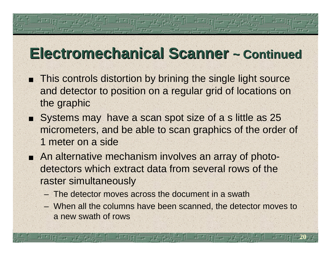#### **Electromechanical Scanner ~ Continued**

- This controls distortion by brining the single light source and detector to position on a regular grid of locations on the graphic
- Systems may have a scan spot size of a s little as 25 micrometers, and be able to scan graphics of the order of 1 meter on a side
- An alternative mechanism involves an array of photodetectors which extract data from several rows of the raster simultaneously
	- The detector moves across the document in a swath
	- When all the columns have been scanned, the detector moves to a new swath of rows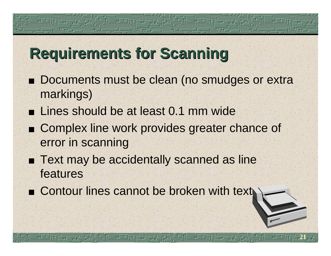#### **Requirements for Scanning**

- Documents must be clean (no smudges or extra markings)
- **Lines should be at least 0.1 mm wide**
- Complex line work provides greater chance of error in scanning

- Text may be accidentally scanned as line features
- **Extrace Contour lines cannot be broken with text**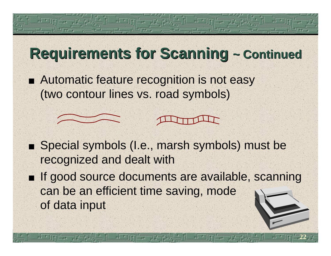# **Requirements for Scanning ~ Continued**

■ Automatic feature recognition is not easy (two contour lines vs. road symbols)



can be an efficient time saving, mode of data input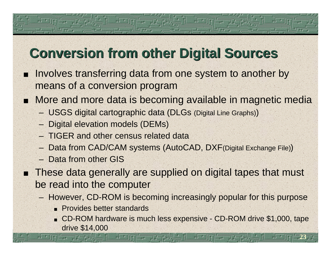#### **Conversion from other Digital Sources**

- Involves transferring data from one system to another by means of a conversion program
- More and more data is becoming available in magnetic media п
	- USGS digital cartographic data (DLGs (Digital Line Graphs))
	- Digital elevation models (DEMs)
	- TIGER and other census related data
	- Data from CAD/CAM systems (AutoCAD, DXF(Digital Exchange File))
	- Data from other GIS
- These data generally are supplied on digital tapes that must be read into the computer
	- However, CD-ROM is becoming increasingly popular for this purpose
		- **Provides better standards**
		- CD-ROM hardware is much less expensive CD-ROM drive \$1,000, tape drive \$14,000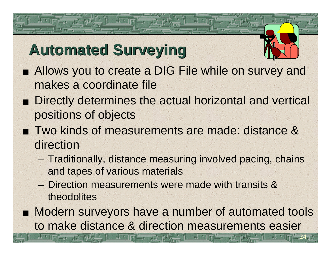# **Automated Surveying**

- Allows you to create a DIG File while on survey and makes a coordinate file
- **Directly determines the actual horizontal and vertical** positions of objects
- Two kinds of measurements are made: distance & direction
	- Traditionally, distance measuring involved pacing, chains and tapes of various materials
	- Direction measurements were made with transits & theodolites
- **Modern surveyors have a number of automated tools** to make distance & direction measurements easier

可中国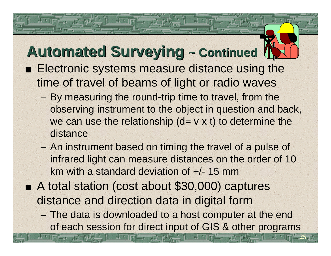#### **Automated Surveying ~ Continued**

- **Electronic systems measure distance using the** time of travel of beams of light or radio waves
	- By measuring the round-trip time to travel, from the observing instrument to the object in question and back, we can use the relationship  $(d= v \times t)$  to determine the distance
	- An instrument based on timing the travel of a pulse of infrared light can measure distances on the order of 10 km with a standard deviation of +/- 15 mm
- A total station (cost about \$30,000) captures distance and direction data in digital form
	- The data is downloaded to a host computer at the end of each session for direct input of GIS & other programs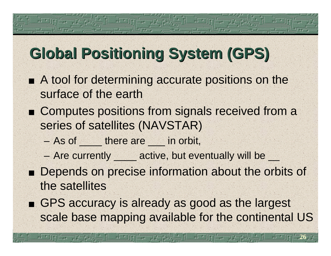#### **Global Positioning System (GPS)**

- A tool for determining accurate positions on the surface of the earth
- Computes positions from signals received from a series of satellites (NAVSTAR)
	- As of there are in orbit,
	- Are currently <u>executive</u>, but eventually will be  $\frac{1}{x}$
- **Depends on precise information about the orbits of** the satellites
- GPS accuracy is already as good as the largest scale base mapping available for the continental US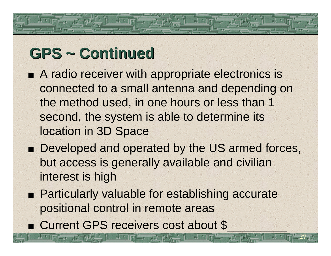# **GPS ~ Continued**

- A radio receiver with appropriate electronics is connected to a small antenna and depending on the method used, in one hours or less than 1 second, the system is able to determine its location in 3D Space
- Developed and operated by the US armed forces, but access is generally available and civilian interest is high

- **Particularly valuable for establishing accurate** positional control in remote areas
- Current GPS receivers cost about \$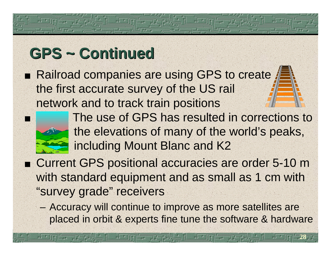# **GPS ~ Continued**

■ Railroad companies are using GPS to create the first accurate survey of the US rail network and to track train positions



- The use of GPS has resulted in corrections to the elevations of many of the world's peaks, including Mount Blanc and K2
- Current GPS positional accuracies are order 5-10 m with standard equipment and as small as 1 cm with "survey grade" receivers
	- Accuracy will continue to improve as more satellites are placed in orbit & experts fine tune the software & hardware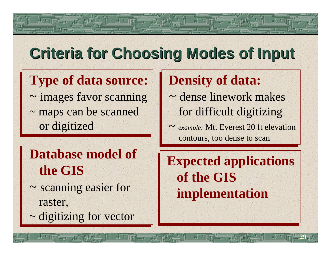#### **Criteria for Choosing Modes of Input**

#### **Type of data source:**

~ images favor scanning ~ maps can be scanned or digitized

#### **Database model of Database model of the GIS the GIS**

- ~ scanning easier for ~ scanning easier for raster, raster,
- ~ digitizing for vector ~ digitizing for vector

#### **Density of data: Density of data:**

- ~ dense linework makes for difficult digitizing for difficult digitizing
- ~ *example:* Mt. Everest 20 ft elevation ~ *example:* Mt. Everest 20 ft elevation contours, too dense to scan

**Expected applications of the GIS implementation**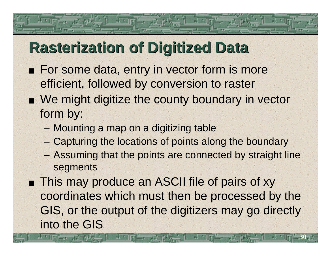#### **Rasterization of Digitized Data**

- **For some data, entry in vector form is more** efficient, followed by conversion to raster
- We might digitize the county boundary in vector form by:
	- Mounting a map on a digitizing table
	- Capturing the locations of points along the boundary
	- Assuming that the points are connected by straight line segments
- **This may produce an ASCII file of pairs of xy** coordinates which must then be processed by the GIS, or the output of the digitizers may go directly into the GIS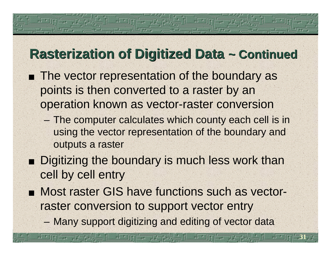#### **Rasterization of Digitized Data ~ Continued**

- The vector representation of the boundary as points is then converted to a raster by an operation known as vector-raster conversion
	- The computer calculates which county each cell is in using the vector representation of the boundary and outputs a raster
- **Digitizing the boundary is much less work than** cell by cell entry
- Most raster GIS have functions such as vectorraster conversion to support vector entry
	- Many support digitizing and editing of vector data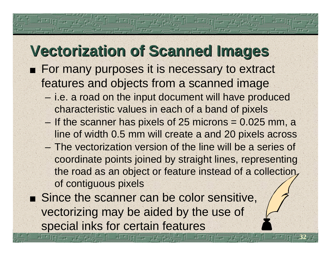#### **Vectorization of Scanned Images**

- **For many purposes it is necessary to extract** features and objects from a scanned image
	- i.e. a road on the input document will have produced characteristic values in each of a band of pixels
	- If the scanner has pixels of 25 microns = 0.025 mm, a line of width 0.5 mm will create a and 20 pixels across
	- The vectorization version of the line will be a series of coordinate points joined by straight lines, representing the road as an object or feature instead of a collection, of contiguous pixels

**32**

Since the scanner can be color sensitive, vectorizing may be aided by the use of special inks for certain features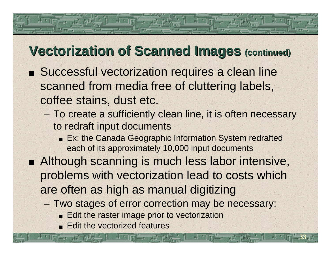#### **Vectorization of Scanned Images (continued)**

- Successful vectorization requires a clean line scanned from media free of cluttering labels, coffee stains, dust etc.
	- To create a sufficiently clean line, it is often necessary to redraft input documents
		- **Ex: the Canada Geographic Information System redrafted** each of its approximately 10,000 input documents
- Although scanning is much less labor intensive, problems with vectorization lead to costs which are often as high as manual digitizing
	- Two stages of error correction may be necessary:

- **Edit the raster image prior to vectorization**
- Edit the vectorized features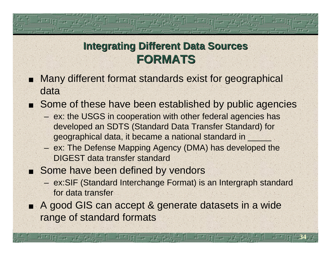#### **Integrating Different Data Sources FORMATS**

- Many different format standards exist for geographical data
- Some of these have been established by public agencies
	- ex: the USGS in cooperation with other federal agencies has developed an SDTS (Standard Data Transfer Standard) for geographical data, it became a national standard in \_\_\_\_\_\_\_
	- ex: The Defense Mapping Agency (DMA) has developed the DIGEST data transfer standard
- Some have been defined by vendors
	- ex:SIF (Standard Interchange Format) is an Intergraph standard for data transfer

**34**

■ A good GIS can accept & generate datasets in a wide range of standard formats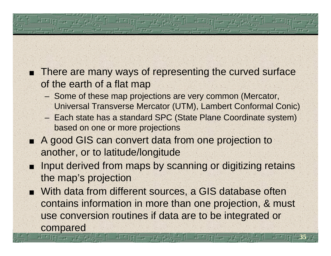- **There are many ways of representing the curved surface** of the earth of a flat map
	- Some of these map projections are very common (Mercator, Universal Transverse Mercator (UTM), Lambert Conformal Conic)
	- Each state has a standard SPC (State Plane Coordinate system) based on one or more projections
- A good GIS can convert data from one projection to another, or to latitude/longitude
- Input derived from maps by scanning or digitizing retains the map's projection
- With data from different sources, a GIS database often contains information in more than one projection, & must use conversion routines if data are to be integrated or compared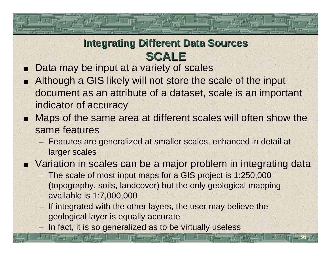#### **Integrating Different Data Sources SCALE**

- Data may be input at a variety of scales  $\blacksquare$
- Although a GIS likely will not store the scale of the input document as an attribute of a dataset, scale is an important indicator of accuracy
- Maps of the same area at different scales will often show the same features
	- Features are generalized at smaller scales, enhanced in detail at larger scales
- Variation in scales can be a major problem in integrating data

- The scale of most input maps for a GIS project is 1:250,000 (topography, soils, landcover) but the only geological mapping available is 1:7,000,000
- If integrated with the other layers, the user may believe the geological layer is equally accurate
- In fact, it is so generalized as to be virtually useless